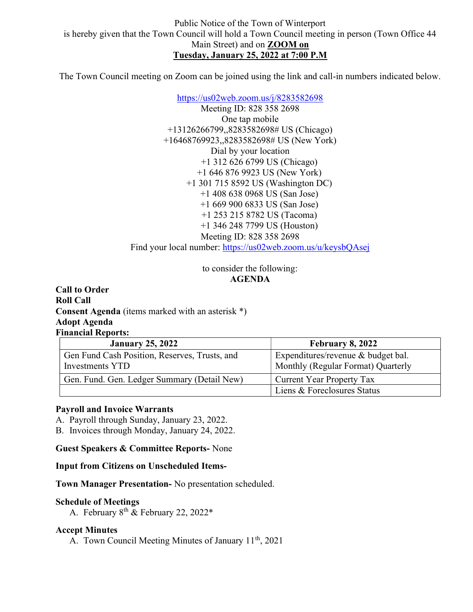The Town Council meeting on Zoom can be joined using the link and call-in numbers indicated below.

https://us02web.zoom.us/j/8283582698 Meeting ID: 828 358 2698 One tap mobile +13126266799,,8283582698# US (Chicago) +16468769923,,8283582698# US (New York) Dial by your location +1 312 626 6799 US (Chicago) +1 646 876 9923 US (New York) +1 301 715 8592 US (Washington DC) +1 408 638 0968 US (San Jose) +1 669 900 6833 US (San Jose) +1 253 215 8782 US (Tacoma) +1 346 248 7799 US (Houston) Meeting ID: 828 358 2698 Find your local number: https://us02web.zoom.us/u/keysbQAsej

> to consider the following: AGENDA

Call to Order Roll Call Consent Agenda (items marked with an asterisk \*) Adopt Agenda Financial Reports:

| <b>January 25, 2022</b>                                          | <b>February 8, 2022</b>                                                  |
|------------------------------------------------------------------|--------------------------------------------------------------------------|
| Gen Fund Cash Position, Reserves, Trusts, and<br>Investments YTD | Expenditures/revenue & budget bal.<br>Monthly (Regular Format) Quarterly |
| Gen. Fund. Gen. Ledger Summary (Detail New)                      | Current Year Property Tax                                                |
|                                                                  | Liens & Foreclosures Status                                              |

### Payroll and Invoice Warrants

A. Payroll through Sunday, January 23, 2022.

B. Invoices through Monday, January 24, 2022.

Guest Speakers & Committee Reports- None

Input from Citizens on Unscheduled Items-

Town Manager Presentation- No presentation scheduled.

### Schedule of Meetings

A. February  $8^{th}$  & February 22, 2022\*

### Accept Minutes

A. Town Council Meeting Minutes of January 11<sup>th</sup>, 2021